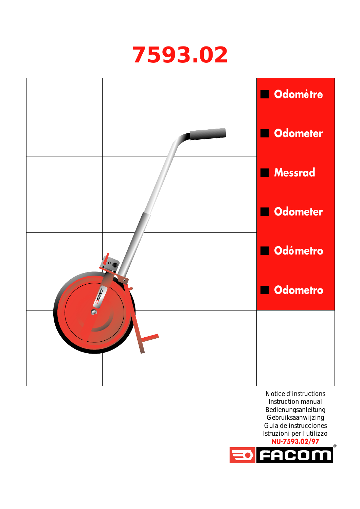## **7593.02**



Notice d'instructions Instruction manual Bedienungsanleitung Gebruiksaanwijzing Guia de instrucciones Istruzioni per l'utilizzo **NU-7593.02/97**

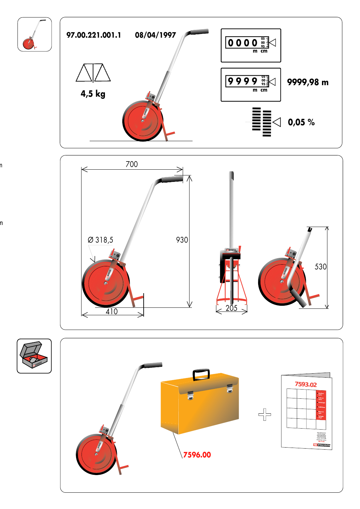



n

n

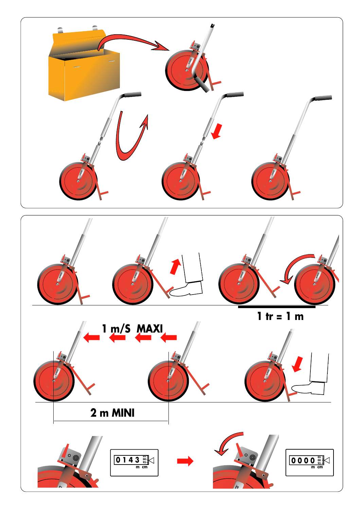